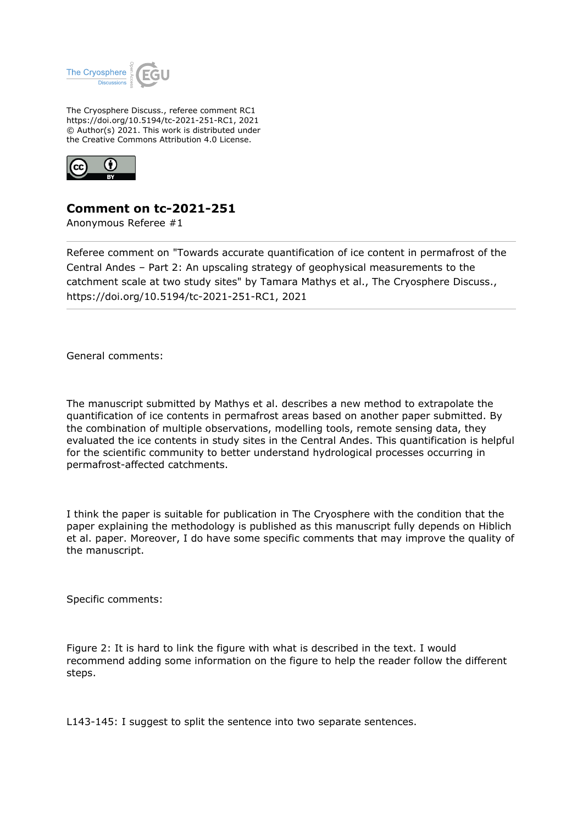

The Cryosphere Discuss., referee comment RC1 https://doi.org/10.5194/tc-2021-251-RC1, 2021 © Author(s) 2021. This work is distributed under the Creative Commons Attribution 4.0 License.



## **Comment on tc-2021-251**

Anonymous Referee #1

Referee comment on "Towards accurate quantification of ice content in permafrost of the Central Andes – Part 2: An upscaling strategy of geophysical measurements to the catchment scale at two study sites" by Tamara Mathys et al., The Cryosphere Discuss., https://doi.org/10.5194/tc-2021-251-RC1, 2021

General comments:

The manuscript submitted by Mathys et al. describes a new method to extrapolate the quantification of ice contents in permafrost areas based on another paper submitted. By the combination of multiple observations, modelling tools, remote sensing data, they evaluated the ice contents in study sites in the Central Andes. This quantification is helpful for the scientific community to better understand hydrological processes occurring in permafrost-affected catchments.

I think the paper is suitable for publication in The Cryosphere with the condition that the paper explaining the methodology is published as this manuscript fully depends on Hiblich et al. paper. Moreover, I do have some specific comments that may improve the quality of the manuscript.

Specific comments:

Figure 2: It is hard to link the figure with what is described in the text. I would recommend adding some information on the figure to help the reader follow the different steps.

L143-145: I suggest to split the sentence into two separate sentences.